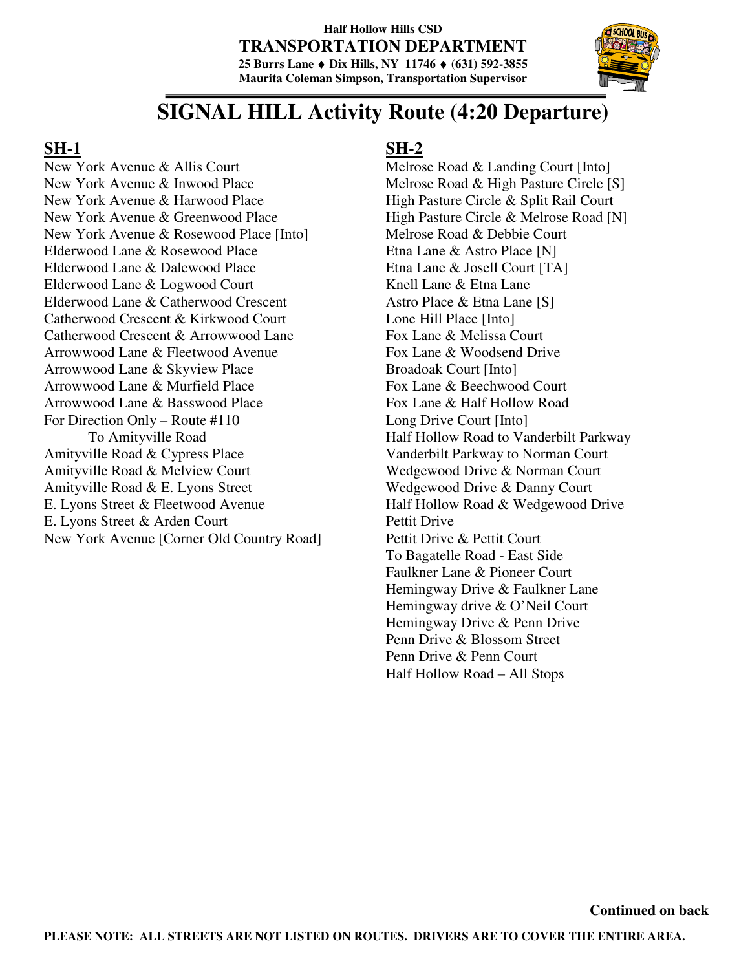#### **Half Hollow Hills CSD TRANSPORTATION DEPARTMENT 25 Burrs Lane** ♦ **Dix Hills, NY 11746** ♦ **(631) 592-3855 Maurita Coleman Simpson, Transportation Supervisor**



# **SIGNAL HILL Activity Route (4:20 Departure)**

### **SH-1**

New York Avenue & Allis Court New York Avenue & Inwood Place New York Avenue & Harwood Place New York Avenue & Greenwood Place New York Avenue & Rosewood Place [Into] Elderwood Lane & Rosewood Place Elderwood Lane & Dalewood Place Elderwood Lane & Logwood Court Elderwood Lane & Catherwood Crescent Catherwood Crescent & Kirkwood Court Catherwood Crescent & Arrowwood Lane Arrowwood Lane & Fleetwood Avenue Arrowwood Lane & Skyview Place Arrowwood Lane & Murfield Place Arrowwood Lane & Basswood Place For Direction Only – Route #110 To Amityville Road Amityville Road & Cypress Place Amityville Road & Melview Court Amityville Road & E. Lyons Street E. Lyons Street & Fleetwood Avenue E. Lyons Street & Arden Court New York Avenue [Corner Old Country Road]

## **SH-2**

Melrose Road & Landing Court [Into] Melrose Road & High Pasture Circle [S] High Pasture Circle & Split Rail Court High Pasture Circle & Melrose Road [N] Melrose Road & Debbie Court Etna Lane & Astro Place [N] Etna Lane & Josell Court [TA] Knell Lane & Etna Lane Astro Place & Etna Lane [S] Lone Hill Place [Into] Fox Lane & Melissa Court Fox Lane & Woodsend Drive Broadoak Court [Into] Fox Lane & Beechwood Court Fox Lane & Half Hollow Road Long Drive Court [Into] Half Hollow Road to Vanderbilt Parkway Vanderbilt Parkway to Norman Court Wedgewood Drive & Norman Court Wedgewood Drive & Danny Court Half Hollow Road & Wedgewood Drive Pettit Drive Pettit Drive & Pettit Court To Bagatelle Road - East Side Faulkner Lane & Pioneer Court Hemingway Drive & Faulkner Lane Hemingway drive & O'Neil Court Hemingway Drive & Penn Drive Penn Drive & Blossom Street Penn Drive & Penn Court Half Hollow Road – All Stops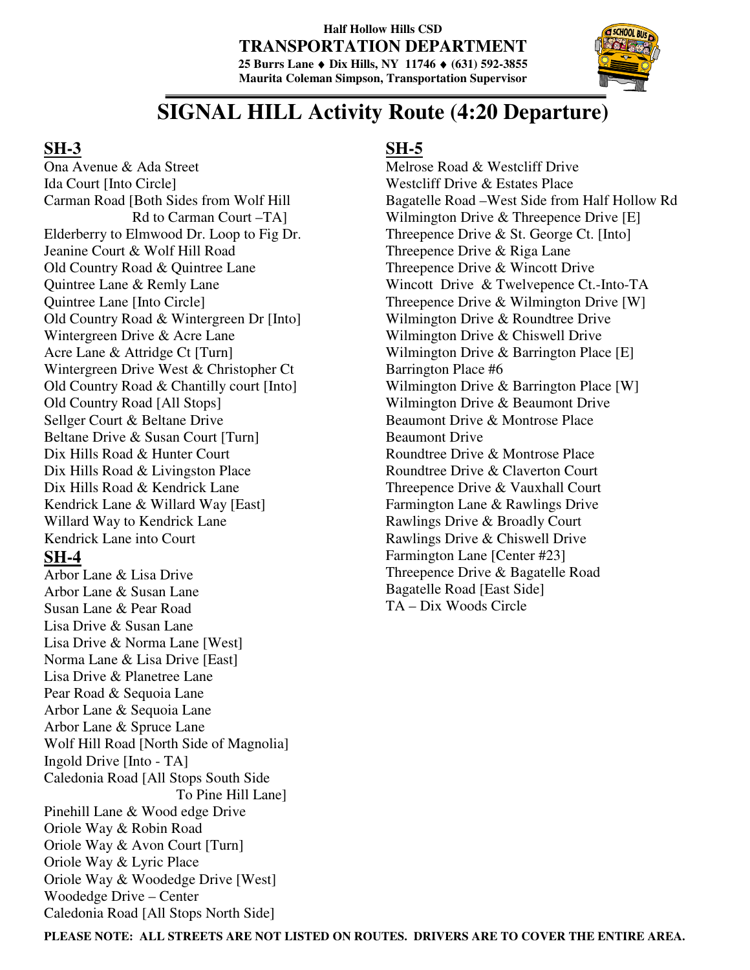#### **Half Hollow Hills CSD TRANSPORTATION DEPARTMENT 25 Burrs Lane** ♦ **Dix Hills, NY 11746** ♦ **(631) 592-3855 Maurita Coleman Simpson, Transportation Supervisor**



# **SIGNAL HILL Activity Route (4:20 Departure)**

### **SH-3**

Ona Avenue & Ada Street Ida Court [Into Circle] Carman Road [Both Sides from Wolf Hill Rd to Carman Court –TA] Elderberry to Elmwood Dr. Loop to Fig Dr. Jeanine Court & Wolf Hill Road Old Country Road & Quintree Lane Quintree Lane & Remly Lane Quintree Lane [Into Circle] Old Country Road & Wintergreen Dr [Into] Wintergreen Drive & Acre Lane Acre Lane & Attridge Ct [Turn] Wintergreen Drive West & Christopher Ct Old Country Road & Chantilly court [Into] Old Country Road [All Stops] Sellger Court & Beltane Drive Beltane Drive & Susan Court [Turn] Dix Hills Road & Hunter Court Dix Hills Road & Livingston Place Dix Hills Road & Kendrick Lane Kendrick Lane & Willard Way [East] Willard Way to Kendrick Lane Kendrick Lane into Court

### **SH-4**

Arbor Lane & Lisa Drive Arbor Lane & Susan Lane Susan Lane & Pear Road Lisa Drive & Susan Lane Lisa Drive & Norma Lane [West] Norma Lane & Lisa Drive [East] Lisa Drive & Planetree Lane Pear Road & Sequoia Lane Arbor Lane & Sequoia Lane Arbor Lane & Spruce Lane Wolf Hill Road [North Side of Magnolia] Ingold Drive [Into - TA] Caledonia Road [All Stops South Side To Pine Hill Lane] Pinehill Lane & Wood edge Drive Oriole Way & Robin Road Oriole Way & Avon Court [Turn] Oriole Way & Lyric Place Oriole Way & Woodedge Drive [West] Woodedge Drive – Center Caledonia Road [All Stops North Side]

## **SH-5**

Melrose Road & Westcliff Drive Westcliff Drive & Estates Place Bagatelle Road –West Side from Half Hollow Rd Wilmington Drive & Threepence Drive [E] Threepence Drive & St. George Ct. [Into] Threepence Drive & Riga Lane Threepence Drive & Wincott Drive Wincott Drive & Twelvepence Ct.-Into-TA Threepence Drive & Wilmington Drive [W] Wilmington Drive & Roundtree Drive Wilmington Drive & Chiswell Drive Wilmington Drive & Barrington Place [E] Barrington Place #6 Wilmington Drive & Barrington Place [W] Wilmington Drive & Beaumont Drive Beaumont Drive & Montrose Place Beaumont Drive Roundtree Drive & Montrose Place Roundtree Drive & Claverton Court Threepence Drive & Vauxhall Court Farmington Lane & Rawlings Drive Rawlings Drive & Broadly Court Rawlings Drive & Chiswell Drive Farmington Lane [Center #23] Threepence Drive & Bagatelle Road Bagatelle Road [East Side] TA – Dix Woods Circle

**PLEASE NOTE: ALL STREETS ARE NOT LISTED ON ROUTES. DRIVERS ARE TO COVER THE ENTIRE AREA.**